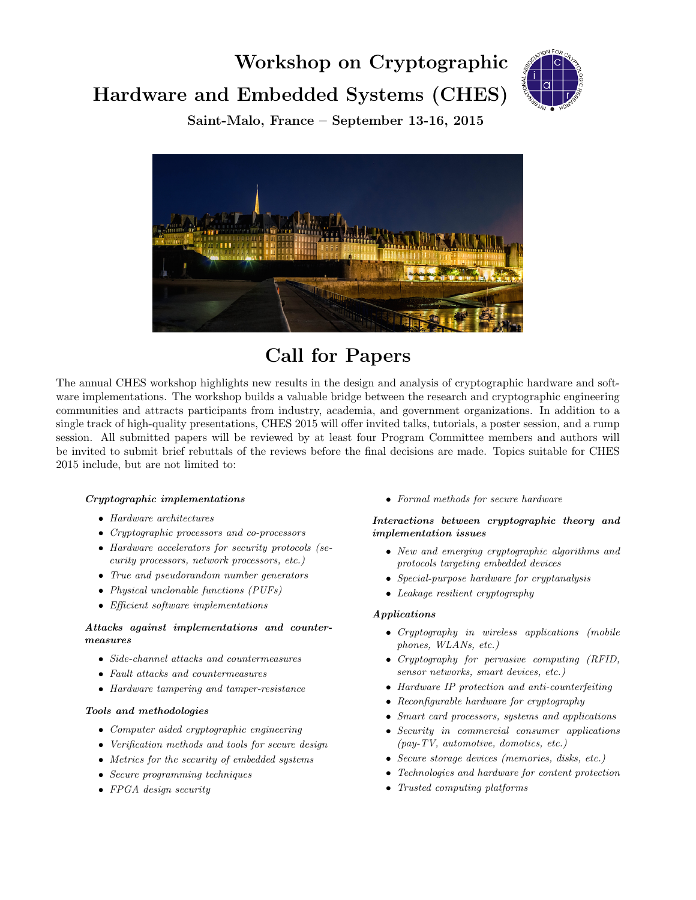# Workshop on Cryptographic Hardware and Embedded Systems (CHES)



Saint-Malo, France – September 13-16, 2015



Call for Papers

The annual CHES workshop highlights new results in the design and analysis of cryptographic hardware and software implementations. The workshop builds a valuable bridge between the research and cryptographic engineering communities and attracts participants from industry, academia, and government organizations. In addition to a single track of high-quality presentations, CHES 2015 will offer invited talks, tutorials, a poster session, and a rump session. All submitted papers will be reviewed by at least four Program Committee members and authors will be invited to submit brief rebuttals of the reviews before the final decisions are made. Topics suitable for CHES 2015 include, but are not limited to:

#### Cryptographic implementations

- Hardware architectures
- Cryptographic processors and co-processors
- Hardware accelerators for security protocols (security processors, network processors, etc.)
- True and pseudorandom number generators
- Physical unclonable functions (PUFs)
- Efficient software implementations

#### Attacks against implementations and countermeasures

- Side-channel attacks and countermeasures
- Fault attacks and countermeasures
- Hardware tampering and tamper-resistance

#### Tools and methodologies

- Computer aided cryptographic engineering
- Verification methods and tools for secure design
- Metrics for the security of embedded systems
- Secure programming techniques
- FPGA design security

• Formal methods for secure hardware

#### Interactions between cryptographic theory and implementation issues

- New and emerging cryptographic algorithms and protocols targeting embedded devices
- Special-purpose hardware for cryptanalysis
- Leakage resilient cryptography

#### Applications

- Cryptography in wireless applications (mobile phones, WLANs, etc.)
- Cryptography for pervasive computing (RFID, sensor networks, smart devices, etc.)
- Hardware IP protection and anti-counterfeiting
- Reconfigurable hardware for cryptography
- Smart card processors, systems and applications
- Security in commercial consumer applications (pay-TV, automotive, domotics, etc.)
- Secure storage devices (memories, disks, etc.)
- Technologies and hardware for content protection
- Trusted computing platforms